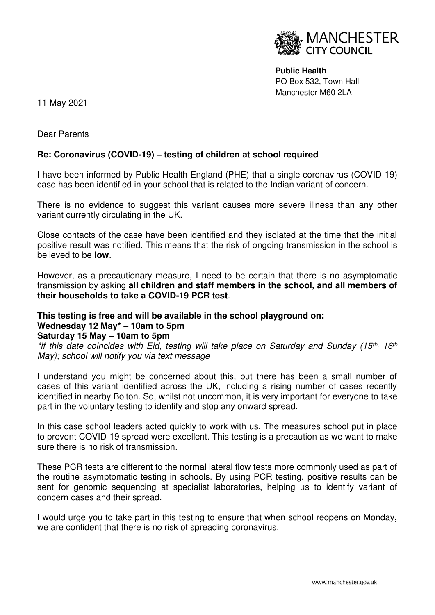

**Public Health**  PO Box 532, Town Hall Manchester M60 2LA

11 May 2021

Dear Parents

## **Re: Coronavirus (COVID-19) – testing of children at school required**

I have been informed by Public Health England (PHE) that a single coronavirus (COVID-19) case has been identified in your school that is related to the Indian variant of concern.

There is no evidence to suggest this variant causes more severe illness than any other variant currently circulating in the UK.

Close contacts of the case have been identified and they isolated at the time that the initial positive result was notified. This means that the risk of ongoing transmission in the school is believed to be **low**.

However, as a precautionary measure, I need to be certain that there is no asymptomatic transmission by asking **all children and staff members in the school, and all members of their households to take a COVID-19 PCR test**.

## **This testing is free and will be available in the school playground on: Wednesday 12 May\* – 10am to 5pm**

## **Saturday 15 May – 10am to 5pm**

\*if this date coincides with Eid, testing will take place on Saturday and Sunday (15<sup>th, 16th</sup>) May); school will notify you via text message

I understand you might be concerned about this, but there has been a small number of cases of this variant identified across the UK, including a rising number of cases recently identified in nearby Bolton. So, whilst not uncommon, it is very important for everyone to take part in the voluntary testing to identify and stop any onward spread.

In this case school leaders acted quickly to work with us. The measures school put in place to prevent COVID-19 spread were excellent. This testing is a precaution as we want to make sure there is no risk of transmission.

These PCR tests are different to the normal lateral flow tests more commonly used as part of the routine asymptomatic testing in schools. By using PCR testing, positive results can be sent for genomic sequencing at specialist laboratories, helping us to identify variant of concern cases and their spread.

I would urge you to take part in this testing to ensure that when school reopens on Monday, we are confident that there is no risk of spreading coronavirus.